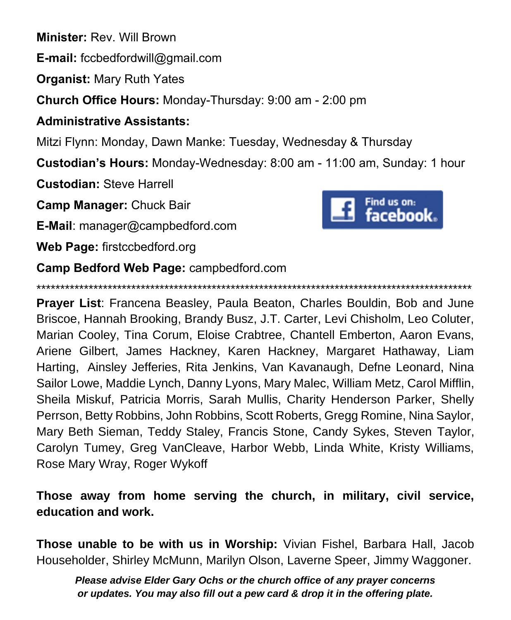**Minister:** Rev. Will Brown

**E-mail:** fccbedfordwill@gmail.com

**Organist:** Mary Ruth Yates

**Church Office Hours:** Monday-Thursday: 9:00 am - 2:00 pm

### **Administrative Assistants:**

Mitzi Flynn: Monday, Dawn Manke: Tuesday, Wednesday & Thursday

**Custodian's Hours:** Monday-Wednesday: 8:00 am - 11:00 am, Sunday: 1 hour

**Custodian:** Steve Harrell

**Camp Manager:** Chuck Bair

**E-Mail**: manager@campbedford.com

**Web Page:** firstccbedford.org



\*\*\*\*\*\*\*\*\*\*\*\*\*\*\*\*\*\*\*\*\*\*\*\*\*\*\*\*\*\*\*\*\*\*\*\*\*\*\*\*\*\*\*\*\*\*\*\*\*\*\*\*\*\*\*\*\*\*\*\*\*\*\*\*\*\*\*\*\*\*\*\*\*\*\*\*\*\*\*\*\*\*\*\*\*\*\*\*\*\*\*\*

**Prayer List**: Francena Beasley, Paula Beaton, Charles Bouldin, Bob and June Briscoe, Hannah Brooking, Brandy Busz, J.T. Carter, Levi Chisholm, Leo Coluter, Marian Cooley, Tina Corum, Eloise Crabtree, Chantell Emberton, Aaron Evans, Ariene Gilbert, James Hackney, Karen Hackney, Margaret Hathaway, Liam Harting, Ainsley Jefferies, Rita Jenkins, Van Kavanaugh, Defne Leonard, Nina Sailor Lowe, Maddie Lynch, Danny Lyons, Mary Malec, William Metz, Carol Mifflin, Sheila Miskuf, Patricia Morris, Sarah Mullis, Charity Henderson Parker, Shelly Perrson, Betty Robbins, John Robbins, Scott Roberts, Gregg Romine, Nina Saylor, Mary Beth Sieman, Teddy Staley, Francis Stone, Candy Sykes, Steven Taylor, Carolyn Tumey, Greg VanCleave, Harbor Webb, Linda White, Kristy Williams, Rose Mary Wray, Roger Wykoff

**Those away from home serving the church, in military, civil service, education and work.**

**Those unable to be with us in Worship:** Vivian Fishel, Barbara Hall, Jacob Householder, Shirley McMunn, Marilyn Olson, Laverne Speer, Jimmy Waggoner.

*Please advise Elder Gary Ochs or the church office of any prayer concerns or updates. You may also fill out a pew card & drop it in the offering plate.*

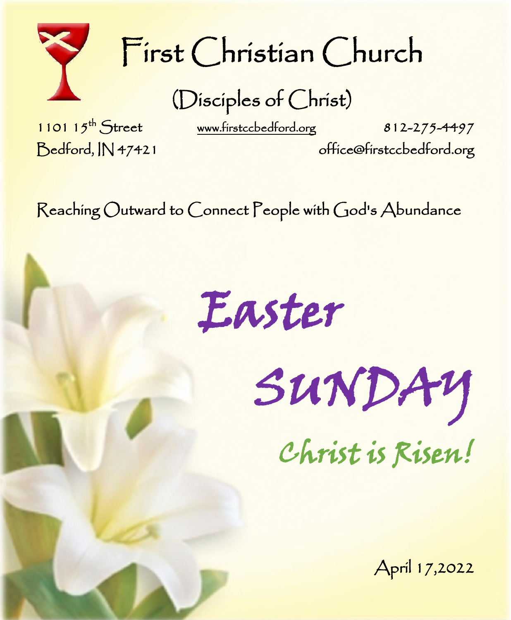

# First Christian Church

(Disciples of Christ)

1101  $15^{th}$  Street

[www.firstccbedford.org](http://www.firstccbedford.org/) 812-275-4497

Bedford, IN 47421 office@firstccbedford.org

Reaching Outward to Connect People with God's Abundance

Easter

SUNDAY

Christ is Risen!

April 17,2022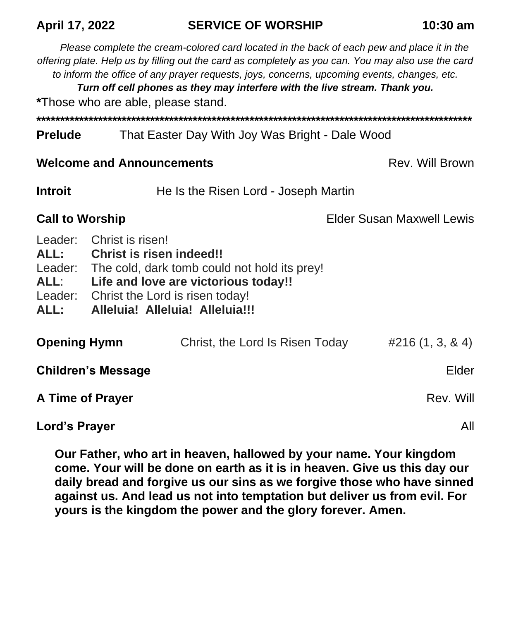## **April 17, 2022 SERVICE OF WORSHIP 10:30 am**

*Please complete the cream-colored card located in the back of each pew and place it in the offering plate. Help us by filling out the card as completely as you can. You may also use the card to inform the office of any prayer requests, joys, concerns, upcoming events, changes, etc.* 

*Turn off cell phones as they may interfere with the live stream. Thank you.*

**\***Those who are able, please stand.

**\*\*\*\*\*\*\*\*\*\*\*\*\*\*\*\*\*\*\*\*\*\*\*\*\*\*\*\*\*\*\*\*\*\*\*\*\*\*\*\*\*\*\*\*\*\*\*\*\*\*\*\*\*\*\*\*\*\*\*\*\*\*\*\*\*\*\*\*\*\*\*\*\*\*\*\*\*\*\*\*\*\*\*\*\*\*\*\*\*\*\*\***

#### **Prelude** That Easter Day With Joy Was Bright - Dale Wood

#### **Welcome and Announcements Rev. Will Brown**

**Introit He Is the Risen Lord - Joseph Martin** 

**Call to Worship Call to Worship Elder Susan Maxwell Lewis** 

- Leader: Christ is risen!
- **ALL: Christ is risen indeed!!**
- Leader: The cold, dark tomb could not hold its prey!
- **ALL**: **Life and love are victorious today!!**
- Leader: Christ the Lord is risen today!
- **ALL: Alleluia! Alleluia! Alleluia!!!**

| <b>Opening Hymn</b>       | Christ, the Lord Is Risen Today | $\#216(1, 3, 8, 4)$ |
|---------------------------|---------------------------------|---------------------|
| <b>Children's Message</b> |                                 | Elder               |
| A Time of Prayer          |                                 | Rev. Will           |
| Lord's Prayer             |                                 | All                 |

**Our Father, who art in heaven, hallowed by your name. Your kingdom come. Your will be done on earth as it is in heaven. Give us this day our daily bread and forgive us our sins as we forgive those who have sinned against us. And lead us not into temptation but deliver us from evil. For yours is the kingdom the power and the glory forever. Amen.**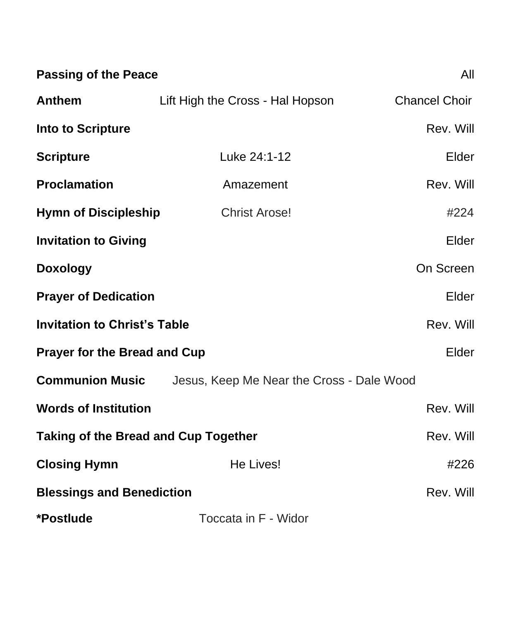| <b>Passing of the Peace</b>                 |                                           | All                  |
|---------------------------------------------|-------------------------------------------|----------------------|
| <b>Anthem</b>                               | Lift High the Cross - Hal Hopson          | <b>Chancel Choir</b> |
| <b>Into to Scripture</b>                    |                                           | Rev. Will            |
| <b>Scripture</b>                            | Luke 24:1-12                              | Elder                |
| <b>Proclamation</b>                         | Amazement                                 | Rev. Will            |
| <b>Hymn of Discipleship</b>                 | <b>Christ Arose!</b>                      | #224                 |
| <b>Invitation to Giving</b>                 |                                           | Elder                |
| <b>Doxology</b>                             |                                           | On Screen            |
| <b>Prayer of Dedication</b>                 |                                           | Elder                |
| <b>Invitation to Christ's Table</b>         |                                           | Rev. Will            |
| <b>Prayer for the Bread and Cup</b>         |                                           | Elder                |
| <b>Communion Music</b>                      | Jesus, Keep Me Near the Cross - Dale Wood |                      |
| <b>Words of Institution</b>                 |                                           | Rev. Will            |
| <b>Taking of the Bread and Cup Together</b> |                                           | Rev. Will            |
| <b>Closing Hymn</b>                         | He Lives!                                 | #226                 |
| <b>Blessings and Benediction</b>            |                                           | Rev. Will            |
| *Postlude                                   | Toccata in F - Widor                      |                      |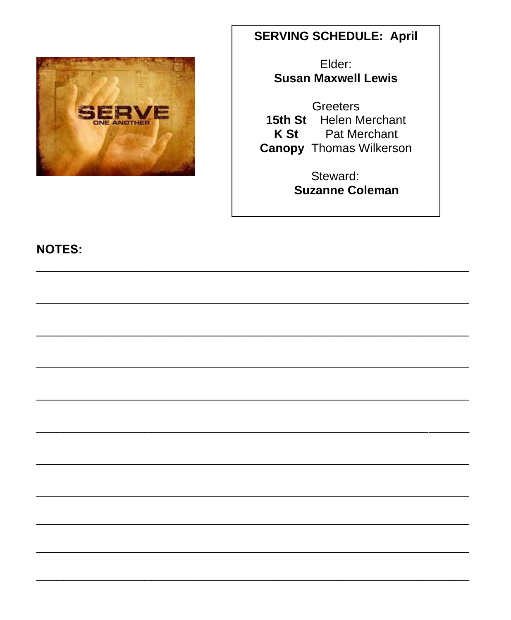

# **SERVING SCHEDULE: April**

Elder: **Susan Maxwell Lewis** 

**Greeters** 15th St Helen Merchant K St **Pat Merchant Canopy Thomas Wilkerson** 

> Steward: **Suzanne Coleman**

**NOTES:**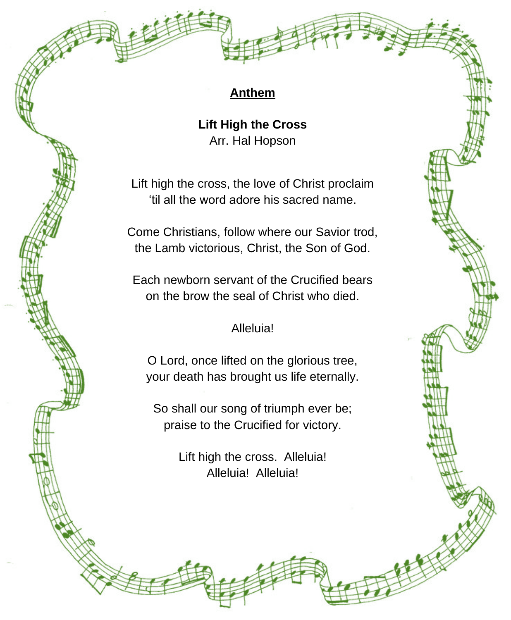### **Anthem**

**Lift High the Cross** Arr. Hal Hopson

Lift high the cross, the love of Christ proclaim 'til all the word adore his sacred name.

Come Christians, follow where our Savior trod, the Lamb victorious, Christ, the Son of God.

Each newborn servant of the Crucified bears on the brow the seal of Christ who died.

#### Alleluia!

O Lord, once lifted on the glorious tree, your death has brought us life eternally.

So shall our song of triumph ever be; praise to the Crucified for victory.

> Lift high the cross. Alleluia! Alleluia! Alleluia!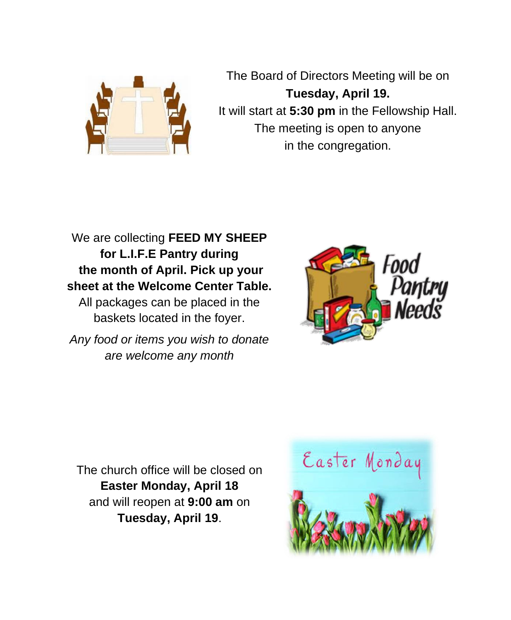

The Board of Directors Meeting will be on **Tuesday, April 19.**  It will start at **5:30 pm** in the Fellowship Hall. The meeting is open to anyone in the congregation.

We are collecting **FEED MY SHEEP for L.I.F.E Pantry during the month of April. Pick up your sheet at the Welcome Center Table.**

All packages can be placed in the baskets located in the foyer.

*Any food or items you wish to donate are welcome any month*



The church office will be closed on **Easter Monday, April 18** and will reopen at **9:00 am** on **Tuesday, April 19**.